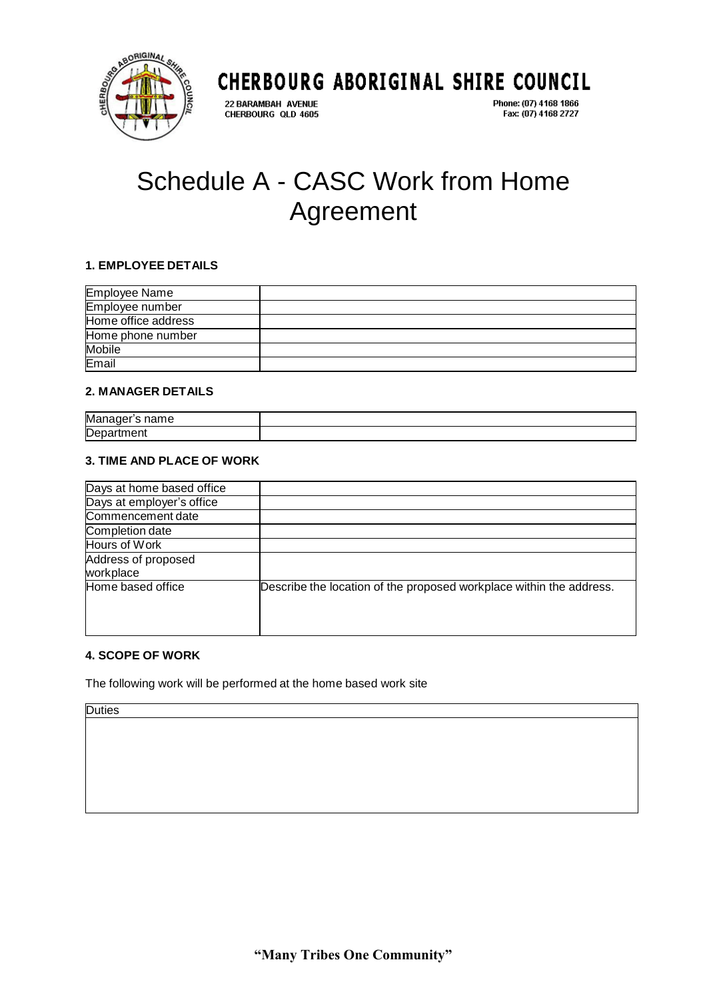

22 BARAMBAH AVENUE CHERBOURG QLD 4605

CHERBOURG ABORIGINAL SHIRE COUNCIL Phone: (07) 4168 1866 Fax: (07) 4168 2727

# Schedule A - CASC Work from Home Agreement

#### **1. EMPLOYEE DETAILS**

| <b>Employee Name</b> |  |
|----------------------|--|
| Employee number      |  |
| Home office address  |  |
| Home phone number    |  |
| <b>Mobile</b>        |  |
| Email                |  |

### **2. MANAGER DETAILS**

| Mε<br>$\cdots$<br>. .<br>__ |  |
|-----------------------------|--|
| De                          |  |

#### **3. TIME AND PLACE OF WORK**

| Days at home based office |                                                                     |
|---------------------------|---------------------------------------------------------------------|
| Days at employer's office |                                                                     |
| Commencement date         |                                                                     |
| Completion date           |                                                                     |
| Hours of Work             |                                                                     |
| Address of proposed       |                                                                     |
| workplace                 |                                                                     |
| Home based office         | Describe the location of the proposed workplace within the address. |

### **4. SCOPE OF WORK**

The following work will be performed at the home based work site

**Duties**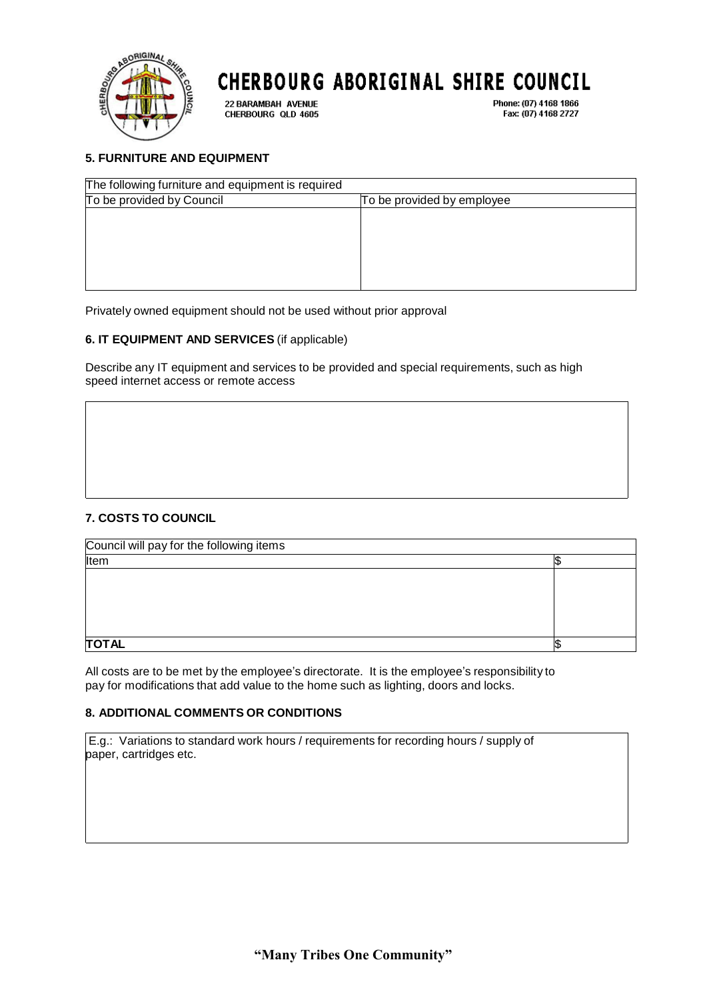

22 BARAMBAH AVENUE CHERBOURG QLD 4605

Phone: (07) 4168 1866 Fax: (07) 4168 2727

### **5. FURNITURE AND EQUIPMENT**

| The following furniture and equipment is required |                            |  |
|---------------------------------------------------|----------------------------|--|
| To be provided by Council                         | To be provided by employee |  |
|                                                   |                            |  |
|                                                   |                            |  |
|                                                   |                            |  |
|                                                   |                            |  |
|                                                   |                            |  |
|                                                   |                            |  |

Privately owned equipment should not be used without prior approval

#### **6. IT EQUIPMENT AND SERVICES** (if applicable)

Describe any IT equipment and services to be provided and special requirements, such as high speed internet access or remote access

### **7. COSTS TO COUNCIL**

| Council will pay for the following items |  |
|------------------------------------------|--|
| Item                                     |  |
|                                          |  |
|                                          |  |
|                                          |  |
|                                          |  |
|                                          |  |
| <b>TOTAL</b>                             |  |

All costs are to be met by the employee's directorate. It is the employee's responsibility to pay for modifications that add value to the home such as lighting, doors and locks.

#### **8. ADDITIONAL COMMENTS OR CONDITIONS**

E.g.: Variations to standard work hours / requirements for recording hours / supply of paper, cartridges etc.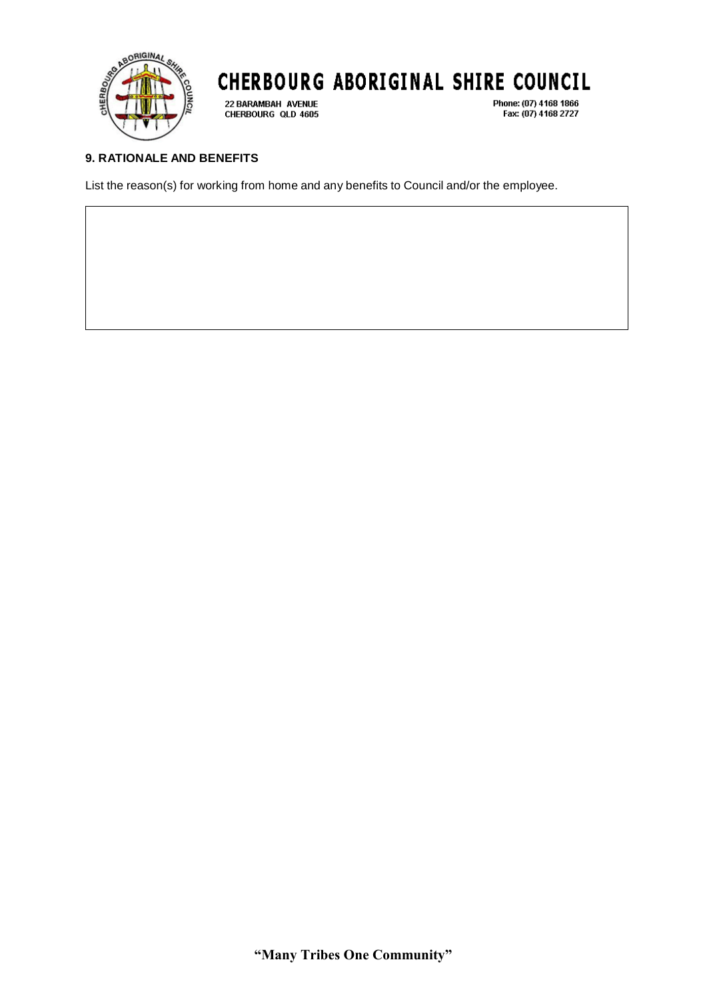

22 BARAMBAH AVENUE CHERBOURG QLD 4605 Phone: (07) 4168 1866 Fax: (07) 4168 2727

## **9. RATIONALE AND BENEFITS**

List the reason(s) for working from home and any benefits to Council and/or the employee.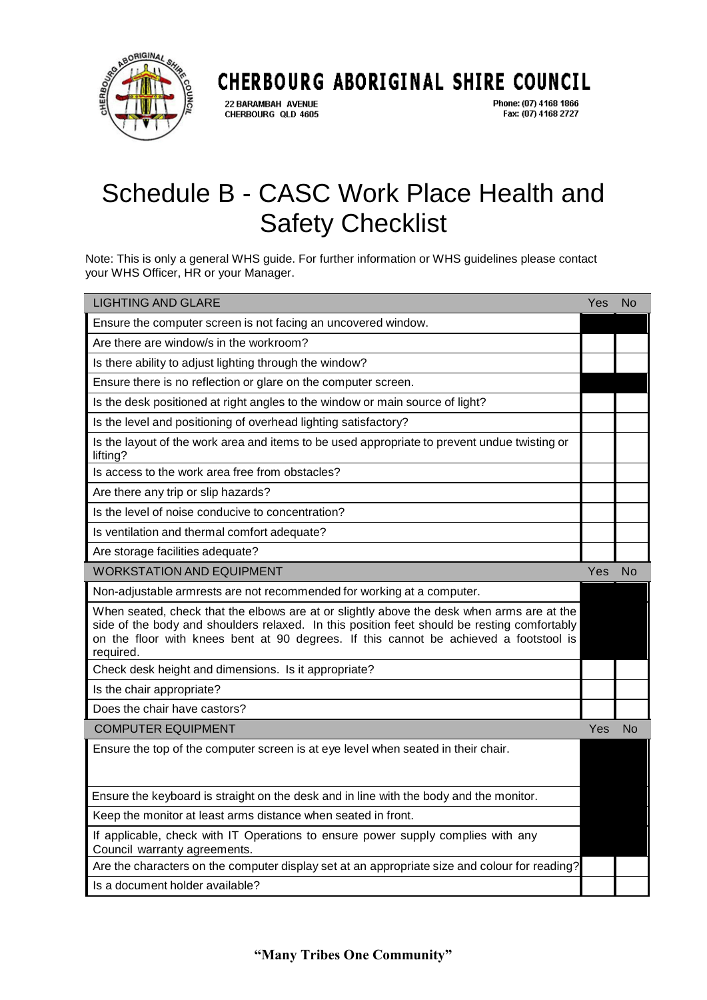

22 BARAMBAH AVENUE CHERBOURG QLD 4605

Phone: (07) 4168 1866 Fax: (07) 4168 2727

# Schedule B - CASC Work Place Health and Safety Checklist

Note: This is only a general WHS guide. For further information or WHS guidelines please contact your WHS Officer, HR or your Manager.

| <b>LIGHTING AND GLARE</b>                                                                                                                                                                                                                                                                      | Yes | No        |
|------------------------------------------------------------------------------------------------------------------------------------------------------------------------------------------------------------------------------------------------------------------------------------------------|-----|-----------|
| Ensure the computer screen is not facing an uncovered window.                                                                                                                                                                                                                                  |     |           |
| Are there are window/s in the workroom?                                                                                                                                                                                                                                                        |     |           |
| Is there ability to adjust lighting through the window?                                                                                                                                                                                                                                        |     |           |
| Ensure there is no reflection or glare on the computer screen.                                                                                                                                                                                                                                 |     |           |
| Is the desk positioned at right angles to the window or main source of light?                                                                                                                                                                                                                  |     |           |
| Is the level and positioning of overhead lighting satisfactory?                                                                                                                                                                                                                                |     |           |
| Is the layout of the work area and items to be used appropriate to prevent undue twisting or<br>lifting?                                                                                                                                                                                       |     |           |
| Is access to the work area free from obstacles?                                                                                                                                                                                                                                                |     |           |
| Are there any trip or slip hazards?                                                                                                                                                                                                                                                            |     |           |
| Is the level of noise conducive to concentration?                                                                                                                                                                                                                                              |     |           |
| Is ventilation and thermal comfort adequate?                                                                                                                                                                                                                                                   |     |           |
| Are storage facilities adequate?                                                                                                                                                                                                                                                               |     |           |
| <b>WORKSTATION AND EQUIPMENT</b>                                                                                                                                                                                                                                                               | Yes | <b>No</b> |
| Non-adjustable armrests are not recommended for working at a computer.                                                                                                                                                                                                                         |     |           |
| When seated, check that the elbows are at or slightly above the desk when arms are at the<br>side of the body and shoulders relaxed. In this position feet should be resting comfortably<br>on the floor with knees bent at 90 degrees. If this cannot be achieved a footstool is<br>required. |     |           |
| Check desk height and dimensions. Is it appropriate?                                                                                                                                                                                                                                           |     |           |
| Is the chair appropriate?                                                                                                                                                                                                                                                                      |     |           |
| Does the chair have castors?                                                                                                                                                                                                                                                                   |     |           |
| <b>COMPUTER EQUIPMENT</b>                                                                                                                                                                                                                                                                      | Yes | No        |
| Ensure the top of the computer screen is at eye level when seated in their chair.                                                                                                                                                                                                              |     |           |
| Ensure the keyboard is straight on the desk and in line with the body and the monitor.                                                                                                                                                                                                         |     |           |
| Keep the monitor at least arms distance when seated in front.                                                                                                                                                                                                                                  |     |           |
| If applicable, check with IT Operations to ensure power supply complies with any<br>Council warranty agreements.                                                                                                                                                                               |     |           |
| Are the characters on the computer display set at an appropriate size and colour for reading?                                                                                                                                                                                                  |     |           |
| Is a document holder available?                                                                                                                                                                                                                                                                |     |           |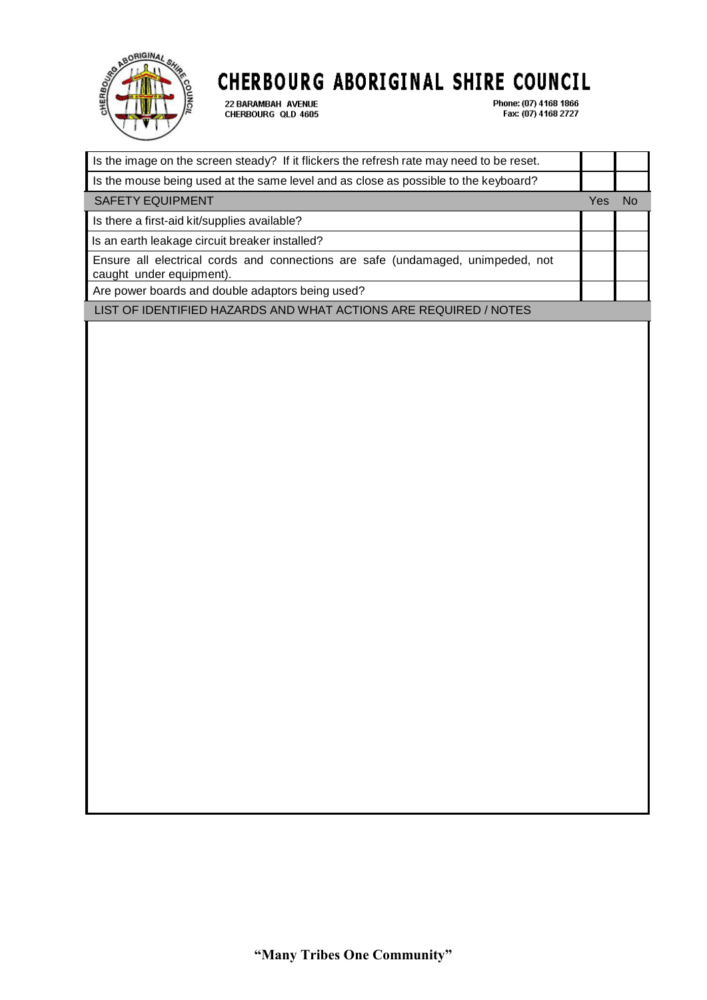

22 BARAMBAH AVENUE<br>CHERBOURG QLD 4605

Phone: (07) 4168 1866<br>Fax: (07) 4168 2727

| Is the image on the screen steady? If it flickers the refresh rate may need to be reset.                    |     |           |
|-------------------------------------------------------------------------------------------------------------|-----|-----------|
| Is the mouse being used at the same level and as close as possible to the keyboard?                         |     |           |
| <b>SAFETY EQUIPMENT</b>                                                                                     | Yes | <b>No</b> |
| Is there a first-aid kit/supplies available?                                                                |     |           |
| Is an earth leakage circuit breaker installed?                                                              |     |           |
| Ensure all electrical cords and connections are safe (undamaged, unimpeded, not<br>caught under equipment). |     |           |
| Are power boards and double adaptors being used?                                                            |     |           |
| LIST OF IDENTIFIED HAZARDS AND WHAT ACTIONS ARE REQUIRED / NOTES                                            |     |           |
|                                                                                                             |     |           |
|                                                                                                             |     |           |
|                                                                                                             |     |           |
|                                                                                                             |     |           |
|                                                                                                             |     |           |
|                                                                                                             |     |           |
|                                                                                                             |     |           |
|                                                                                                             |     |           |
|                                                                                                             |     |           |
|                                                                                                             |     |           |
|                                                                                                             |     |           |
|                                                                                                             |     |           |
|                                                                                                             |     |           |
|                                                                                                             |     |           |
|                                                                                                             |     |           |
|                                                                                                             |     |           |
|                                                                                                             |     |           |
|                                                                                                             |     |           |
|                                                                                                             |     |           |